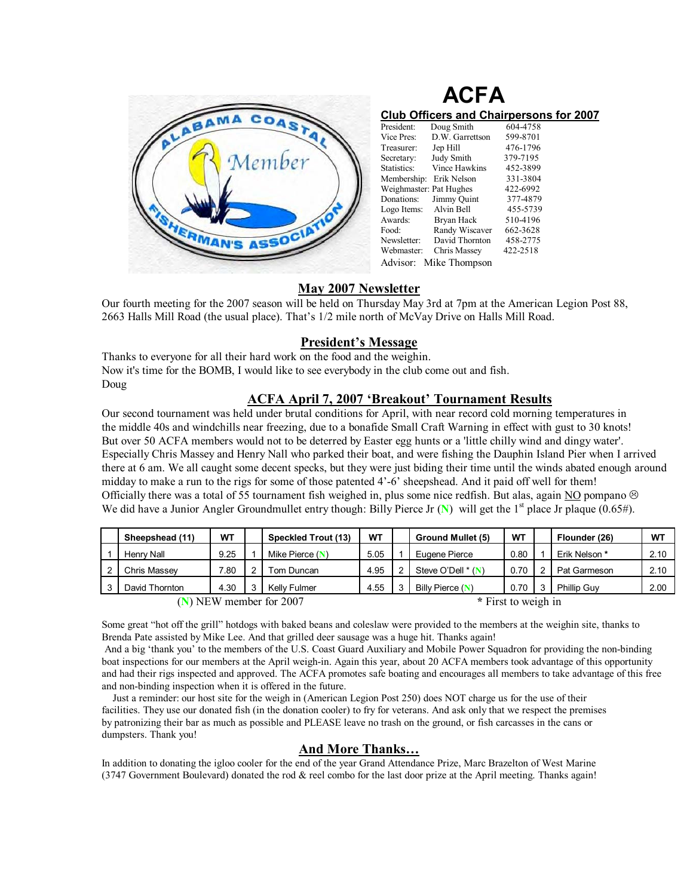

| <b>ACFA</b>                                    |                         |          |  |  |  |  |  |
|------------------------------------------------|-------------------------|----------|--|--|--|--|--|
| <b>Club Officers and Chairpersons for 2007</b> |                         |          |  |  |  |  |  |
| President:                                     | Doug Smith              | 604-4758 |  |  |  |  |  |
| Vice Pres:                                     | D.W. Garrettson         | 599-8701 |  |  |  |  |  |
| Treasurer:                                     | Jep Hill                | 476-1796 |  |  |  |  |  |
| Secretary:                                     | Judy Smith              | 379-7195 |  |  |  |  |  |
| Statistics:                                    | Vince Hawkins           | 452-3899 |  |  |  |  |  |
|                                                | Membership: Erik Nelson | 331-3804 |  |  |  |  |  |

|                         | Statistics: Vince Hawkins | 452-3899 |  |  |  |  |  |
|-------------------------|---------------------------|----------|--|--|--|--|--|
| Membership: Erik Nelson |                           | 331-3804 |  |  |  |  |  |
| Weighmaster: Pat Hughes |                           | 422-6992 |  |  |  |  |  |
| Donations: Jimmy Quint  |                           | 377-4879 |  |  |  |  |  |
| Logo Items: Alvin Bell  |                           | 455-5739 |  |  |  |  |  |
| Awards:                 | Bryan Hack                | 510-4196 |  |  |  |  |  |
| Food:                   | Randy Wiscaver            | 662-3628 |  |  |  |  |  |
| Newsletter:             | David Thornton            | 458-2775 |  |  |  |  |  |
| Webmaster:              | Chris Massey              | 422-2518 |  |  |  |  |  |
| Advisor: Mike Thompson  |                           |          |  |  |  |  |  |

# **May 2007 Newsletter**

Our fourth meeting for the 2007 season will be held on Thursday May 3rd at 7pm at the American Legion Post 88, 2663 Halls Mill Road (the usual place). That's 1/2 mile north of McVay Drive on Halls Mill Road.

# **President's Message**

Thanks to everyone for all their hard work on the food and the weighin. Now it's time for the BOMB, I would like to see everybody in the club come out and fish. Doug

### **ACFA April 7, 2007 'Breakout' Tournament Results**

Our second tournament was held under brutal conditions for April, with near record cold morning temperatures in the middle 40s and windchills near freezing, due to a bonafide Small Craft Warning in effect with gust to 30 knots! But over 50 ACFA members would not to be deterred by Easter egg hunts or a 'little chilly wind and dingy water'. Especially Chris Massey and Henry Nall who parked their boat, and were fishing the Dauphin Island Pier when I arrived there at 6 am. We all caught some decent specks, but they were just biding their time until the winds abated enough around midday to make a run to the rigs for some of those patented  $4<sup>2</sup>-6$ <sup>2</sup> sheepshead. And it paid off well for them! Officially there was a total of 55 tournament fish weighed in, plus some nice redfish. But alas, again NO pompano  $\otimes$ We did have a Junior Angler Groundmullet entry though: Billy Pierce Jr (N) will get the 1<sup>st</sup> place Jr plaque (0.65#).

|                           | Sheepshead (11) | WΤ             |  | Speckled Trout (13) | <b>WT</b> |                     | <b>Ground Mullet (5)</b> | WT   |  | Flounder (26) | <b>W1</b> |
|---------------------------|-----------------|----------------|--|---------------------|-----------|---------------------|--------------------------|------|--|---------------|-----------|
|                           | Henry Nall      | 9.25           |  | Mike Pierce $(N)$   | 5.05      |                     | Eugene Pierce            | 0.80 |  | Erik Nelson * | 2.10      |
|                           | Chris Massev    | $^{\prime}.80$ |  | Tom Duncan          | 4.95      |                     | Steve O'Dell $*(N)$      | 0.70 |  | Pat Garmeson  | 2.10      |
|                           | David Thornton  | 4.30           |  | Kelly Fulmer        | 4.55      |                     | Billy Pierce (N)         | 0.70 |  | Phillip Guv   | 2.00      |
| $(N)$ NEW member for 2007 |                 |                |  |                     |           | * First to weigh in |                          |      |  |               |           |

Some great "hot off the grill" hotdogs with baked beans and coleslaw were provided to the members at the weighin site, thanks to Brenda Pate assisted by Mike Lee. And that grilled deer sausage was a huge hit. Thanks again!

And a big 'thank you' to the members of the U.S. Coast Guard Auxiliary and Mobile Power Squadron for providing the non-binding boat inspections for our members at the April weigh-in. Again this year, about 20 ACFA members took advantage of this opportunity and had their rigs inspected and approved. The ACFA promotes safe boating and encourages all members to take advantage of this free and non-binding inspection when it is offered in the future.

 Just a reminder: our host site for the weigh in (American Legion Post 250) does NOT charge us for the use of their facilities. They use our donated fish (in the donation cooler) to fry for veterans. And ask only that we respect the premises by patronizing their bar as much as possible and PLEASE leave no trash on the ground, or fish carcasses in the cans or dumpsters. Thank you!

### And More Thanks...

In addition to donating the igloo cooler for the end of the year Grand Attendance Prize, Marc Brazelton of West Marine (3747 Government Boulevard) donated the rod & reel combo for the last door prize at the April meeting. Thanks again!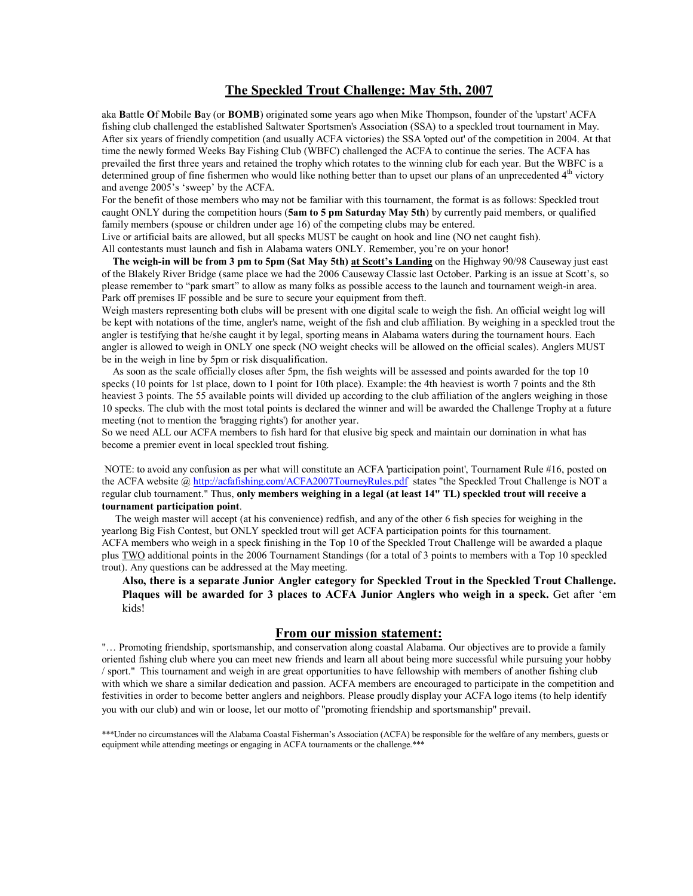### **The Speckled Trout Challenge: May 5th, 2007**

aka **B**attle **O**f **M**obile **B**ay (or **BOMB**) originated some years ago when Mike Thompson, founder of the 'upstart' ACFA fishing club challenged the established Saltwater Sportsmen's Association (SSA) to a speckled trout tournament in May. After six years of friendly competition (and usually ACFA victories) the SSA 'opted out' of the competition in 2004. At that time the newly formed Weeks Bay Fishing Club (WBFC) challenged the ACFA to continue the series. The ACFA has prevailed the first three years and retained the trophy which rotates to the winning club for each year. But the WBFC is a determined group of fine fishermen who would like nothing better than to upset our plans of an unprecedented  $4<sup>th</sup>$  victory and avenge 2005's 'sweep' by the ACFA.

For the benefit of those members who may not be familiar with this tournament, the format is as follows: Speckled trout caught ONLY during the competition hours (**5am to 5 pm Saturday May 5th**) by currently paid members, or qualified family members (spouse or children under age 16) of the competing clubs may be entered.

Live or artificial baits are allowed, but all specks MUST be caught on hook and line (NO net caught fish). All contestants must launch and fish in Alabama waters ONLY. Remember, you're on your honor!

**The weigh-in will be from 3 pm to 5pm (Sat May 5th) at Scott's Landing** on the Highway 90/98 Causeway just east of the Blakely River Bridge (same place we had the 2006 Causeway Classic last October. Parking is an issue at Scottís, so please remember to "park smart" to allow as many folks as possible access to the launch and tournament weigh-in area. Park off premises IF possible and be sure to secure your equipment from theft.

Weigh masters representing both clubs will be present with one digital scale to weigh the fish. An official weight log will be kept with notations of the time, angler's name, weight of the fish and club affiliation. By weighing in a speckled trout the angler is testifying that he/she caught it by legal, sporting means in Alabama waters during the tournament hours. Each angler is allowed to weigh in ONLY one speck (NO weight checks will be allowed on the official scales). Anglers MUST be in the weigh in line by 5pm or risk disqualification.

 As soon as the scale officially closes after 5pm, the fish weights will be assessed and points awarded for the top 10 specks (10 points for 1st place, down to 1 point for 10th place). Example: the 4th heaviest is worth 7 points and the 8th heaviest 3 points. The 55 available points will divided up according to the club affiliation of the anglers weighing in those 10 specks. The club with the most total points is declared the winner and will be awarded the Challenge Trophy at a future meeting (not to mention the 'bragging rights') for another year.

So we need ALL our ACFA members to fish hard for that elusive big speck and maintain our domination in what has become a premier event in local speckled trout fishing.

 NOTE: to avoid any confusion as per what will constitute an ACFA 'participation point', Tournament Rule #16, posted on the ACFA website @ http://acfafishing.com/ACFA2007TourneyRules.pdf states "the Speckled Trout Challenge is NOT a regular club tournament." Thus, **only members weighing in a legal (at least 14" TL) speckled trout will receive a tournament participation point**.

 The weigh master will accept (at his convenience) redfish, and any of the other 6 fish species for weighing in the yearlong Big Fish Contest, but ONLY speckled trout will get ACFA participation points for this tournament. ACFA members who weigh in a speck finishing in the Top 10 of the Speckled Trout Challenge will be awarded a plaque plus TWO additional points in the 2006 Tournament Standings (for a total of 3 points to members with a Top 10 speckled trout). Any questions can be addressed at the May meeting.

**Also, there is a separate Junior Angler category for Speckled Trout in the Speckled Trout Challenge.**  Plaques will be awarded for 3 places to ACFA Junior Anglers who weigh in a speck. Get after 'em kids!

**From our mission statement:**<br>"
... Promoting friendship, sportsmanship, and conservation along coastal Alabama. Our objectives are to provide a family oriented fishing club where you can meet new friends and learn all about being more successful while pursuing your hobby / sport." This tournament and weigh in are great opportunities to have fellowship with members of another fishing club with which we share a similar dedication and passion. ACFA members are encouraged to participate in the competition and festivities in order to become better anglers and neighbors. Please proudly display your ACFA logo items (to help identify you with our club) and win or loose, let our motto of "promoting friendship and sportsmanship" prevail.

\*\*\*Under no circumstances will the Alabama Coastal Fisherman's Association (ACFA) be responsible for the welfare of any members, guests or equipment while attending meetings or engaging in ACFA tournaments or the challenge.\*\*\*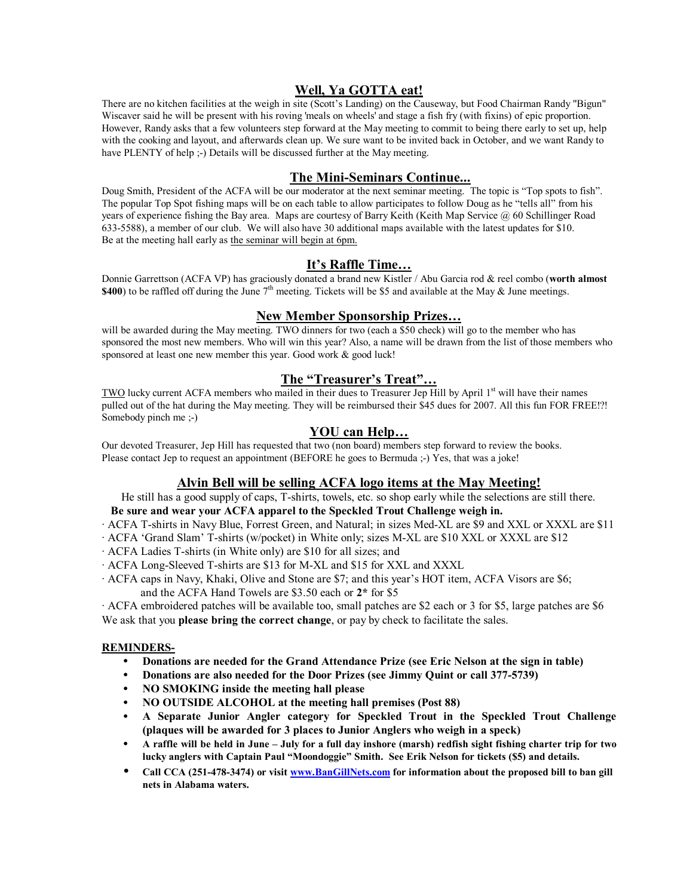# **Well, Ya GOTTA eat!**

There are no kitchen facilities at the weigh in site (Scott's Landing) on the Causeway, but Food Chairman Randy "Bigun" Wiscaver said he will be present with his roving 'meals on wheels' and stage a fish fry (with fixins) of epic proportion. However, Randy asks that a few volunteers step forward at the May meeting to commit to being there early to set up, help with the cooking and layout, and afterwards clean up. We sure want to be invited back in October, and we want Randy to have PLENTY of help ;-) Details will be discussed further at the May meeting.

# **The Mini-Seminars Continue...**

Doug Smith, President of the ACFA will be our moderator at the next seminar meeting. The topic is "Top spots to fish". The popular Top Spot fishing maps will be on each table to allow participates to follow Doug as he "tells all" from his years of experience fishing the Bay area. Maps are courtesy of Barry Keith (Keith Map Service @ 60 Schillinger Road 633-5588), a member of our club. We will also have 30 additional maps available with the latest updates for \$10. Be at the meeting hall early as the seminar will begin at 6pm.

# It's Raffle Time...

Donnie Garrettson (ACFA VP) has graciously donated a brand new Kistler / Abu Garcia rod & reel combo (**worth almost \$400**) to be raffled off during the June  $7<sup>th</sup>$  meeting. Tickets will be \$5 and available at the May  $\&$  June meetings.

#### **New Member Sponsorship Prizes...**

will be awarded during the May meeting. TWO dinners for two (each a \$50 check) will go to the member who has sponsored the most new members. Who will win this year? Also, a name will be drawn from the list of those members who sponsored at least one new member this year. Good work & good luck!

# **The "Treasurer's Treat"...**

TWO lucky current ACFA members who mailed in their dues to Treasurer Jep Hill by April 1<sup>st</sup> will have their names pulled out of the hat during the May meeting. They will be reimbursed their \$45 dues for 2007. All this fun FOR FREE!?! Somebody pinch me ;-)

### **YOU** can Help...

Our devoted Treasurer, Jep Hill has requested that two (non board) members step forward to review the books. Please contact Jep to request an appointment (BEFORE he goes to Bermuda ;-) Yes, that was a joke!

### **Alvin Bell will be selling ACFA logo items at the May Meeting!**

He still has a good supply of caps, T-shirts, towels, etc. so shop early while the selections are still there.

#### **Be sure and wear your ACFA apparel to the Speckled Trout Challenge weigh in.**

- · ACFA T-shirts in Navy Blue, Forrest Green, and Natural; in sizes Med-XL are \$9 and XXL or XXXL are \$11
- · ACFA ëGrand Slamí T-shirts (w/pocket) in White only; sizes M-XL are \$10 XXL or XXXL are \$12
- · ACFA Ladies T-shirts (in White only) are \$10 for all sizes; and
- · ACFA Long-Sleeved T-shirts are \$13 for M-XL and \$15 for XXL and XXXL
- · ACFA caps in Navy, Khaki, Olive and Stone are \$7; and this yearís HOT item, ACFA Visors are \$6; and the ACFA Hand Towels are \$3.50 each or **2\*** for \$5

· ACFA embroidered patches will be available too, small patches are \$2 each or 3 for \$5, large patches are \$6 We ask that you **please bring the correct change**, or pay by check to facilitate the sales.

#### **REMINDERS-**

- **Donations are needed for the Grand Attendance Prize (see Eric Nelson at the sign in table)**
- **Donations are also needed for the Door Prizes (see Jimmy Quint or call 377-5739)**
- **NO SMOKING inside the meeting hall please**
- **NO OUTSIDE ALCOHOL at the meeting hall premises (Post 88)**
- **A Separate Junior Angler category for Speckled Trout in the Speckled Trout Challenge (plaques will be awarded for 3 places to Junior Anglers who weigh in a speck)**
- A raffle will be held in June July for a full day inshore (marsh) redfish sight fishing charter trip for two lucky anglers with Captain Paul "Moondoggie" Smith. See Erik Nelson for tickets (\$5) and details.
- Call CCA (251-478-3474) or visit www.BanGillNets.com for information about the proposed bill to ban gill **nets in Alabama waters.**